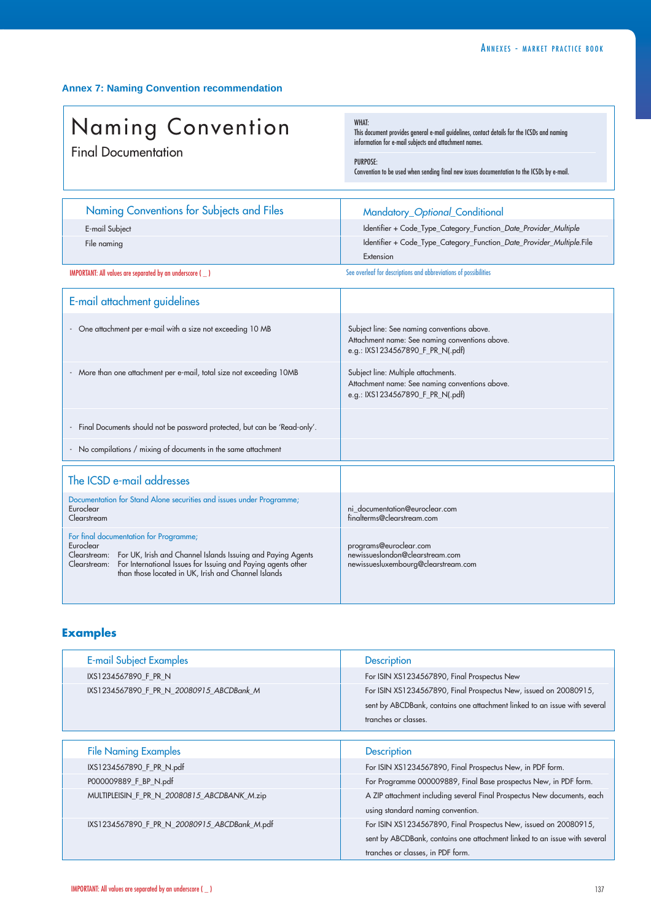## **Annex 7: Naming Convention recommendation**

## Naming Convention Final Documentation

WHAT:

This document provides general e-mail guidelines, contact details for the ICSDs and naming information for e-mail subjects and attachment names.

## PURPOSE:

Convention to be used when sending final new issues documentation to the ICSDs by e-mail.

| Naming Conventions for Subjects and Files                                                                                                             | Mandatory_Optional_Conditional                                                     |  |  |
|-------------------------------------------------------------------------------------------------------------------------------------------------------|------------------------------------------------------------------------------------|--|--|
| E-mail Subject                                                                                                                                        | Identifier + Code_Type_Category_Function_Date_Provider_Multiple                    |  |  |
| File naming                                                                                                                                           | Identifier + Code_Type_Category_Function_Date_Provider_Multiple.File               |  |  |
|                                                                                                                                                       | Extension                                                                          |  |  |
| <b>IMPORTANT: All values are separated by an underscore ()</b>                                                                                        | See overleaf for descriptions and abbreviations of possibilities                   |  |  |
| E-mail attachment guidelines                                                                                                                          |                                                                                    |  |  |
| - One attachment per e-mail with a size not exceeding 10 MB                                                                                           | Subject line: See naming conventions above.                                        |  |  |
|                                                                                                                                                       | Attachment name: See naming conventions above.                                     |  |  |
|                                                                                                                                                       | e.g.: IXS1234567890_F_PR_N(.pdf)                                                   |  |  |
| - More than one attachment per e-mail, total size not exceeding 10MB                                                                                  | Subject line: Multiple attachments.                                                |  |  |
|                                                                                                                                                       | Attachment name: See naming conventions above.<br>e.g.: IXS1234567890 F PR N(.pdf) |  |  |
|                                                                                                                                                       |                                                                                    |  |  |
|                                                                                                                                                       |                                                                                    |  |  |
| - Final Documents should not be password protected, but can be 'Read-only'.                                                                           |                                                                                    |  |  |
| - No compilations / mixing of documents in the same attachment                                                                                        |                                                                                    |  |  |
|                                                                                                                                                       |                                                                                    |  |  |
| The ICSD e-mail addresses                                                                                                                             |                                                                                    |  |  |
| Documentation for Stand Alone securities and issues under Programme;                                                                                  |                                                                                    |  |  |
| Euroclear<br>Clearstream                                                                                                                              | ni_documentation@euroclear.com<br>finalterms@clearstream.com                       |  |  |
| For final documentation for Programme;                                                                                                                |                                                                                    |  |  |
| Euroclear                                                                                                                                             | programs@euroclear.com                                                             |  |  |
| Clearstream: For UK, Irish and Channel Islands Issuing and Paying Agents<br>Clearstream: For International Issues for Issuing and Paying agents other | newissueslondon@clearstream.com<br>newissuesluxembourg@clearstream.com             |  |  |
| than those located in UK, Irish and Channel Islands                                                                                                   |                                                                                    |  |  |
|                                                                                                                                                       |                                                                                    |  |  |

## **Examples**

| <b>E-mail Subject Examples</b>               | <b>Description</b>                                                                                                                                                                 |
|----------------------------------------------|------------------------------------------------------------------------------------------------------------------------------------------------------------------------------------|
| IXS1234567890_F_PR_N                         | For ISIN XS1234567890, Final Prospectus New                                                                                                                                        |
| IXS1234567890_F_PR_N_20080915_ABCDBank_M     | For ISIN XS1234567890, Final Prospectus New, issued on 20080915,<br>sent by ABCDBank, contains one attachment linked to an issue with several<br>tranches or classes.              |
|                                              |                                                                                                                                                                                    |
| <b>File Naming Examples</b>                  | <b>Description</b>                                                                                                                                                                 |
| IXS1234567890_F_PR_N.pdf                     | For ISIN XS1234567890, Final Prospectus New, in PDF form.                                                                                                                          |
| P000009889_F_BP_N.pdf                        | For Programme 000009889, Final Base prospectus New, in PDF form.                                                                                                                   |
| MULTIPLEISIN_F_PR_N_20080815_ABCDBANK_M.zip  | A ZIP attachment including several Final Prospectus New documents, each<br>using standard naming convention.                                                                       |
| IXS1234567890_F_PR_N_20080915_ABCDBank_M.pdf | For ISIN XS1234567890, Final Prospectus New, issued on 20080915,<br>sent by ABCDBank, contains one attachment linked to an issue with several<br>tranches or classes, in PDF form. |